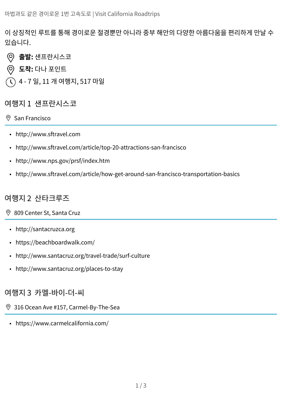이 상징적인 루트를 통해 경이로운 절경뿐만 아니라 중부 해안의 다양한 아름다움을 편리하게 만날 수 있습니다.

- (ට) **출발:** 샌프란시스코
- **도착:** 다나 포인트
- 4 7 일, 11 개 여행지, 517 마일

### 여행지 1 샌프란시스코

#### $\circ$  [San Francisco](https://www.google.com/maps/dir/San+Francisco,+CA/Santa+Cruz,+CA/Carmel-by-the-Sea,+CA/Bixby+Creek+Bridge/Hearst+Castle/Cambria,+CA/Ventura,+CA/Santa+Monica,+CA/Dana+Point,+CA/@34.239012,-119.1212118,11.68z/data=!4m91!4m90!1m5!1m1!1s0x80859a6d00690021:0x4a501367f076adff!2m2!1d-122.4194155!2d37.7749295!1m5!1m1!1s0x808e441b7c36d549:0x52ca104b2ad7f985!2m2!1d-122.0307963!2d36.9741171!1m5!1m1!1s0x808de615b717ec53:0xd2c22ba6ca51541c!2m2!1d-121.9232879!2d36.5552386!1m5!1m1!1s0x808d94a0aea9511b:0xadfeac07efb3a389!2m2!1d-121.9017074!2d36.371434!1m5!1m1!1s0x8092cc9dce68ea8b:0xc07bc62555ca2e20!2m2!1d-121.1682251!2d35.6852076!1m5!1m1!1s0x80ecd77a7b67481f:0xc4fd49cb873a8956!2m2!1d-121.0807468!2d35.5641381!1m10!1m1!1s0x80e9ad155097394d:0x24eff57c367aeae8!2m2!1d-119.2945199!2d34.2804923!3m4!1m2!1d-118.6607706!2d34.0393997!3s0x80c2a08674bde7f7:0x51dc015ed168fee9!1m35!1m1!1s0x80c2a4cec2910019:0xb4170ab5ff23f5ab!2m2!1d-118.4911912!2d34.0194543!3m4!1m2!1d-118.4486983!2d33.9915224!3s0x80c2ba8dce5f1741:0x5119be6cfeacce94!3m4!1m2!1d-118.3963054!2d33.9534005!3s0x80c2b0d39eb17def:0x3e16bddfd455baa5!3m4!1m2!1d-118.3845157!2d33.8189735!3s0x80dd4b50fb4f9a0d:0x42e6294b6f47be44!3m4!1m2!1d-118.1604926!2d33.789852!3s0x80dd317794de16e5:0x1680fb715eca3e32!3m4!1m2!1d-118.0849364!2d33.7320305!3s0x80dd2560f8ba4189:0x5cac0157e2911ec!3m4!1m2!1d-117.8726921!2d33.6008687!3s0x80dce0f47a7d20cd:0xa245c2952257a3c6!1m5!1m1!1s0x80dcf08fba64fd89:0xe42eb4bc7001fa15!2m2!1d-117.6981014!2d33.4672256!3e0)

- <http://www.sftravel.com>
- <http://www.sftravel.com/article/top-20-attractions-san-francisco>
- <http://www.nps.gov/prsf/index.htm>
- <http://www.sftravel.com/article/how-get-around-san-francisco-transportation-basics>

### 여행지 2 산타크루즈

- [809 Center St, Santa Cruz](https://www.google.com/maps/dir/San+Francisco,+CA/Santa+Cruz,+CA/Carmel-by-the-Sea,+CA/Bixby+Creek+Bridge/Hearst+Castle/Cambria,+CA/Ventura,+CA/Santa+Monica,+CA/Dana+Point,+CA/@34.239012,-119.1212118,11.68z/data=!4m91!4m90!1m5!1m1!1s0x80859a6d00690021:0x4a501367f076adff!2m2!1d-122.4194155!2d37.7749295!1m5!1m1!1s0x808e441b7c36d549:0x52ca104b2ad7f985!2m2!1d-122.0307963!2d36.9741171!1m5!1m1!1s0x808de615b717ec53:0xd2c22ba6ca51541c!2m2!1d-121.9232879!2d36.5552386!1m5!1m1!1s0x808d94a0aea9511b:0xadfeac07efb3a389!2m2!1d-121.9017074!2d36.371434!1m5!1m1!1s0x8092cc9dce68ea8b:0xc07bc62555ca2e20!2m2!1d-121.1682251!2d35.6852076!1m5!1m1!1s0x80ecd77a7b67481f:0xc4fd49cb873a8956!2m2!1d-121.0807468!2d35.5641381!1m10!1m1!1s0x80e9ad155097394d:0x24eff57c367aeae8!2m2!1d-119.2945199!2d34.2804923!3m4!1m2!1d-118.6607706!2d34.0393997!3s0x80c2a08674bde7f7:0x51dc015ed168fee9!1m35!1m1!1s0x80c2a4cec2910019:0xb4170ab5ff23f5ab!2m2!1d-118.4911912!2d34.0194543!3m4!1m2!1d-118.4486983!2d33.9915224!3s0x80c2ba8dce5f1741:0x5119be6cfeacce94!3m4!1m2!1d-118.3963054!2d33.9534005!3s0x80c2b0d39eb17def:0x3e16bddfd455baa5!3m4!1m2!1d-118.3845157!2d33.8189735!3s0x80dd4b50fb4f9a0d:0x42e6294b6f47be44!3m4!1m2!1d-118.1604926!2d33.789852!3s0x80dd317794de16e5:0x1680fb715eca3e32!3m4!1m2!1d-118.0849364!2d33.7320305!3s0x80dd2560f8ba4189:0x5cac0157e2911ec!3m4!1m2!1d-117.8726921!2d33.6008687!3s0x80dce0f47a7d20cd:0xa245c2952257a3c6!1m5!1m1!1s0x80dcf08fba64fd89:0xe42eb4bc7001fa15!2m2!1d-117.6981014!2d33.4672256!3e0)
- <http://santacruzca.org>
- <https://beachboardwalk.com/>
- <http://www.santacruz.org/travel-trade/surf-culture>
- <http://www.santacruz.org/places-to-stay>

### 여행지 3 카멜-바이-더-씨

- [316 Ocean Ave #157, Carmel-By-The-Sea](https://www.google.com/maps/dir/San+Francisco,+CA/Santa+Cruz,+CA/Carmel-by-the-Sea,+CA/Bixby+Creek+Bridge/Hearst+Castle/Cambria,+CA/Ventura,+CA/Santa+Monica,+CA/Dana+Point,+CA/@34.239012,-119.1212118,11.68z/data=!4m91!4m90!1m5!1m1!1s0x80859a6d00690021:0x4a501367f076adff!2m2!1d-122.4194155!2d37.7749295!1m5!1m1!1s0x808e441b7c36d549:0x52ca104b2ad7f985!2m2!1d-122.0307963!2d36.9741171!1m5!1m1!1s0x808de615b717ec53:0xd2c22ba6ca51541c!2m2!1d-121.9232879!2d36.5552386!1m5!1m1!1s0x808d94a0aea9511b:0xadfeac07efb3a389!2m2!1d-121.9017074!2d36.371434!1m5!1m1!1s0x8092cc9dce68ea8b:0xc07bc62555ca2e20!2m2!1d-121.1682251!2d35.6852076!1m5!1m1!1s0x80ecd77a7b67481f:0xc4fd49cb873a8956!2m2!1d-121.0807468!2d35.5641381!1m10!1m1!1s0x80e9ad155097394d:0x24eff57c367aeae8!2m2!1d-119.2945199!2d34.2804923!3m4!1m2!1d-118.6607706!2d34.0393997!3s0x80c2a08674bde7f7:0x51dc015ed168fee9!1m35!1m1!1s0x80c2a4cec2910019:0xb4170ab5ff23f5ab!2m2!1d-118.4911912!2d34.0194543!3m4!1m2!1d-118.4486983!2d33.9915224!3s0x80c2ba8dce5f1741:0x5119be6cfeacce94!3m4!1m2!1d-118.3963054!2d33.9534005!3s0x80c2b0d39eb17def:0x3e16bddfd455baa5!3m4!1m2!1d-118.3845157!2d33.8189735!3s0x80dd4b50fb4f9a0d:0x42e6294b6f47be44!3m4!1m2!1d-118.1604926!2d33.789852!3s0x80dd317794de16e5:0x1680fb715eca3e32!3m4!1m2!1d-118.0849364!2d33.7320305!3s0x80dd2560f8ba4189:0x5cac0157e2911ec!3m4!1m2!1d-117.8726921!2d33.6008687!3s0x80dce0f47a7d20cd:0xa245c2952257a3c6!1m5!1m1!1s0x80dcf08fba64fd89:0xe42eb4bc7001fa15!2m2!1d-117.6981014!2d33.4672256!3e0)
- <https://www.carmelcalifornia.com/>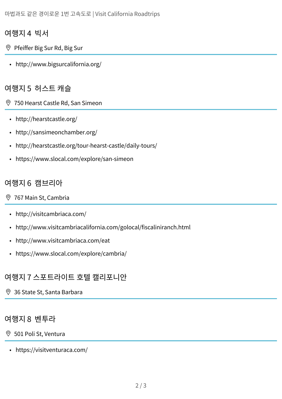## 여행지 4 빅서

- [Pfeiffer Big Sur Rd, Big Sur](https://www.google.com/maps/dir/San+Francisco,+CA/Santa+Cruz,+CA/Carmel-by-the-Sea,+CA/Bixby+Creek+Bridge/Hearst+Castle/Cambria,+CA/Ventura,+CA/Santa+Monica,+CA/Dana+Point,+CA/@34.239012,-119.1212118,11.68z/data=!4m91!4m90!1m5!1m1!1s0x80859a6d00690021:0x4a501367f076adff!2m2!1d-122.4194155!2d37.7749295!1m5!1m1!1s0x808e441b7c36d549:0x52ca104b2ad7f985!2m2!1d-122.0307963!2d36.9741171!1m5!1m1!1s0x808de615b717ec53:0xd2c22ba6ca51541c!2m2!1d-121.9232879!2d36.5552386!1m5!1m1!1s0x808d94a0aea9511b:0xadfeac07efb3a389!2m2!1d-121.9017074!2d36.371434!1m5!1m1!1s0x8092cc9dce68ea8b:0xc07bc62555ca2e20!2m2!1d-121.1682251!2d35.6852076!1m5!1m1!1s0x80ecd77a7b67481f:0xc4fd49cb873a8956!2m2!1d-121.0807468!2d35.5641381!1m10!1m1!1s0x80e9ad155097394d:0x24eff57c367aeae8!2m2!1d-119.2945199!2d34.2804923!3m4!1m2!1d-118.6607706!2d34.0393997!3s0x80c2a08674bde7f7:0x51dc015ed168fee9!1m35!1m1!1s0x80c2a4cec2910019:0xb4170ab5ff23f5ab!2m2!1d-118.4911912!2d34.0194543!3m4!1m2!1d-118.4486983!2d33.9915224!3s0x80c2ba8dce5f1741:0x5119be6cfeacce94!3m4!1m2!1d-118.3963054!2d33.9534005!3s0x80c2b0d39eb17def:0x3e16bddfd455baa5!3m4!1m2!1d-118.3845157!2d33.8189735!3s0x80dd4b50fb4f9a0d:0x42e6294b6f47be44!3m4!1m2!1d-118.1604926!2d33.789852!3s0x80dd317794de16e5:0x1680fb715eca3e32!3m4!1m2!1d-118.0849364!2d33.7320305!3s0x80dd2560f8ba4189:0x5cac0157e2911ec!3m4!1m2!1d-117.8726921!2d33.6008687!3s0x80dce0f47a7d20cd:0xa245c2952257a3c6!1m5!1m1!1s0x80dcf08fba64fd89:0xe42eb4bc7001fa15!2m2!1d-117.6981014!2d33.4672256!3e0)
	- <http://www.bigsurcalifornia.org/>

### 여행지 5 허스트 캐슬

[750 Hearst Castle Rd, San Simeon](https://www.google.com/maps/dir/San+Francisco,+CA/Santa+Cruz,+CA/Carmel-by-the-Sea,+CA/Bixby+Creek+Bridge/Hearst+Castle/Cambria,+CA/Ventura,+CA/Santa+Monica,+CA/Dana+Point,+CA/@34.239012,-119.1212118,11.68z/data=!4m91!4m90!1m5!1m1!1s0x80859a6d00690021:0x4a501367f076adff!2m2!1d-122.4194155!2d37.7749295!1m5!1m1!1s0x808e441b7c36d549:0x52ca104b2ad7f985!2m2!1d-122.0307963!2d36.9741171!1m5!1m1!1s0x808de615b717ec53:0xd2c22ba6ca51541c!2m2!1d-121.9232879!2d36.5552386!1m5!1m1!1s0x808d94a0aea9511b:0xadfeac07efb3a389!2m2!1d-121.9017074!2d36.371434!1m5!1m1!1s0x8092cc9dce68ea8b:0xc07bc62555ca2e20!2m2!1d-121.1682251!2d35.6852076!1m5!1m1!1s0x80ecd77a7b67481f:0xc4fd49cb873a8956!2m2!1d-121.0807468!2d35.5641381!1m10!1m1!1s0x80e9ad155097394d:0x24eff57c367aeae8!2m2!1d-119.2945199!2d34.2804923!3m4!1m2!1d-118.6607706!2d34.0393997!3s0x80c2a08674bde7f7:0x51dc015ed168fee9!1m35!1m1!1s0x80c2a4cec2910019:0xb4170ab5ff23f5ab!2m2!1d-118.4911912!2d34.0194543!3m4!1m2!1d-118.4486983!2d33.9915224!3s0x80c2ba8dce5f1741:0x5119be6cfeacce94!3m4!1m2!1d-118.3963054!2d33.9534005!3s0x80c2b0d39eb17def:0x3e16bddfd455baa5!3m4!1m2!1d-118.3845157!2d33.8189735!3s0x80dd4b50fb4f9a0d:0x42e6294b6f47be44!3m4!1m2!1d-118.1604926!2d33.789852!3s0x80dd317794de16e5:0x1680fb715eca3e32!3m4!1m2!1d-118.0849364!2d33.7320305!3s0x80dd2560f8ba4189:0x5cac0157e2911ec!3m4!1m2!1d-117.8726921!2d33.6008687!3s0x80dce0f47a7d20cd:0xa245c2952257a3c6!1m5!1m1!1s0x80dcf08fba64fd89:0xe42eb4bc7001fa15!2m2!1d-117.6981014!2d33.4672256!3e0)

- <http://hearstcastle.org/>
- <http://sansimeonchamber.org/>
- <http://hearstcastle.org/tour-hearst-castle/daily-tours/>
- <https://www.slocal.com/explore/san-simeon>

## 여행지 6 캠브리아

#### [767 Main St, Cambria](https://www.google.com/maps/dir/San+Francisco,+CA/Santa+Cruz,+CA/Carmel-by-the-Sea,+CA/Bixby+Creek+Bridge/Hearst+Castle/Cambria,+CA/Ventura,+CA/Santa+Monica,+CA/Dana+Point,+CA/@34.239012,-119.1212118,11.68z/data=!4m91!4m90!1m5!1m1!1s0x80859a6d00690021:0x4a501367f076adff!2m2!1d-122.4194155!2d37.7749295!1m5!1m1!1s0x808e441b7c36d549:0x52ca104b2ad7f985!2m2!1d-122.0307963!2d36.9741171!1m5!1m1!1s0x808de615b717ec53:0xd2c22ba6ca51541c!2m2!1d-121.9232879!2d36.5552386!1m5!1m1!1s0x808d94a0aea9511b:0xadfeac07efb3a389!2m2!1d-121.9017074!2d36.371434!1m5!1m1!1s0x8092cc9dce68ea8b:0xc07bc62555ca2e20!2m2!1d-121.1682251!2d35.6852076!1m5!1m1!1s0x80ecd77a7b67481f:0xc4fd49cb873a8956!2m2!1d-121.0807468!2d35.5641381!1m10!1m1!1s0x80e9ad155097394d:0x24eff57c367aeae8!2m2!1d-119.2945199!2d34.2804923!3m4!1m2!1d-118.6607706!2d34.0393997!3s0x80c2a08674bde7f7:0x51dc015ed168fee9!1m35!1m1!1s0x80c2a4cec2910019:0xb4170ab5ff23f5ab!2m2!1d-118.4911912!2d34.0194543!3m4!1m2!1d-118.4486983!2d33.9915224!3s0x80c2ba8dce5f1741:0x5119be6cfeacce94!3m4!1m2!1d-118.3963054!2d33.9534005!3s0x80c2b0d39eb17def:0x3e16bddfd455baa5!3m4!1m2!1d-118.3845157!2d33.8189735!3s0x80dd4b50fb4f9a0d:0x42e6294b6f47be44!3m4!1m2!1d-118.1604926!2d33.789852!3s0x80dd317794de16e5:0x1680fb715eca3e32!3m4!1m2!1d-118.0849364!2d33.7320305!3s0x80dd2560f8ba4189:0x5cac0157e2911ec!3m4!1m2!1d-117.8726921!2d33.6008687!3s0x80dce0f47a7d20cd:0xa245c2952257a3c6!1m5!1m1!1s0x80dcf08fba64fd89:0xe42eb4bc7001fa15!2m2!1d-117.6981014!2d33.4672256!3e0)

- <http://visitcambriaca.com/>
- <http://www.visitcambriacalifornia.com/golocal/fiscaliniranch.html>
- <http://www.visitcambriaca.com/eat>
- <https://www.slocal.com/explore/cambria/>

## 여행지 7 스포트라이트 호텔 캘리포니안

[36 State St, Santa Barbara](https://www.google.com/maps/dir/San+Francisco,+CA/Santa+Cruz,+CA/Carmel-by-the-Sea,+CA/Bixby+Creek+Bridge/Hearst+Castle/Cambria,+CA/Ventura,+CA/Santa+Monica,+CA/Dana+Point,+CA/@34.239012,-119.1212118,11.68z/data=!4m91!4m90!1m5!1m1!1s0x80859a6d00690021:0x4a501367f076adff!2m2!1d-122.4194155!2d37.7749295!1m5!1m1!1s0x808e441b7c36d549:0x52ca104b2ad7f985!2m2!1d-122.0307963!2d36.9741171!1m5!1m1!1s0x808de615b717ec53:0xd2c22ba6ca51541c!2m2!1d-121.9232879!2d36.5552386!1m5!1m1!1s0x808d94a0aea9511b:0xadfeac07efb3a389!2m2!1d-121.9017074!2d36.371434!1m5!1m1!1s0x8092cc9dce68ea8b:0xc07bc62555ca2e20!2m2!1d-121.1682251!2d35.6852076!1m5!1m1!1s0x80ecd77a7b67481f:0xc4fd49cb873a8956!2m2!1d-121.0807468!2d35.5641381!1m10!1m1!1s0x80e9ad155097394d:0x24eff57c367aeae8!2m2!1d-119.2945199!2d34.2804923!3m4!1m2!1d-118.6607706!2d34.0393997!3s0x80c2a08674bde7f7:0x51dc015ed168fee9!1m35!1m1!1s0x80c2a4cec2910019:0xb4170ab5ff23f5ab!2m2!1d-118.4911912!2d34.0194543!3m4!1m2!1d-118.4486983!2d33.9915224!3s0x80c2ba8dce5f1741:0x5119be6cfeacce94!3m4!1m2!1d-118.3963054!2d33.9534005!3s0x80c2b0d39eb17def:0x3e16bddfd455baa5!3m4!1m2!1d-118.3845157!2d33.8189735!3s0x80dd4b50fb4f9a0d:0x42e6294b6f47be44!3m4!1m2!1d-118.1604926!2d33.789852!3s0x80dd317794de16e5:0x1680fb715eca3e32!3m4!1m2!1d-118.0849364!2d33.7320305!3s0x80dd2560f8ba4189:0x5cac0157e2911ec!3m4!1m2!1d-117.8726921!2d33.6008687!3s0x80dce0f47a7d20cd:0xa245c2952257a3c6!1m5!1m1!1s0x80dcf08fba64fd89:0xe42eb4bc7001fa15!2m2!1d-117.6981014!2d33.4672256!3e0)

### 여행지 8 벤투라

- [501 Poli St, Ventura](https://www.google.com/maps/dir/San+Francisco,+CA/Santa+Cruz,+CA/Carmel-by-the-Sea,+CA/Bixby+Creek+Bridge/Hearst+Castle/Cambria,+CA/Ventura,+CA/Santa+Monica,+CA/Dana+Point,+CA/@34.239012,-119.1212118,11.68z/data=!4m91!4m90!1m5!1m1!1s0x80859a6d00690021:0x4a501367f076adff!2m2!1d-122.4194155!2d37.7749295!1m5!1m1!1s0x808e441b7c36d549:0x52ca104b2ad7f985!2m2!1d-122.0307963!2d36.9741171!1m5!1m1!1s0x808de615b717ec53:0xd2c22ba6ca51541c!2m2!1d-121.9232879!2d36.5552386!1m5!1m1!1s0x808d94a0aea9511b:0xadfeac07efb3a389!2m2!1d-121.9017074!2d36.371434!1m5!1m1!1s0x8092cc9dce68ea8b:0xc07bc62555ca2e20!2m2!1d-121.1682251!2d35.6852076!1m5!1m1!1s0x80ecd77a7b67481f:0xc4fd49cb873a8956!2m2!1d-121.0807468!2d35.5641381!1m10!1m1!1s0x80e9ad155097394d:0x24eff57c367aeae8!2m2!1d-119.2945199!2d34.2804923!3m4!1m2!1d-118.6607706!2d34.0393997!3s0x80c2a08674bde7f7:0x51dc015ed168fee9!1m35!1m1!1s0x80c2a4cec2910019:0xb4170ab5ff23f5ab!2m2!1d-118.4911912!2d34.0194543!3m4!1m2!1d-118.4486983!2d33.9915224!3s0x80c2ba8dce5f1741:0x5119be6cfeacce94!3m4!1m2!1d-118.3963054!2d33.9534005!3s0x80c2b0d39eb17def:0x3e16bddfd455baa5!3m4!1m2!1d-118.3845157!2d33.8189735!3s0x80dd4b50fb4f9a0d:0x42e6294b6f47be44!3m4!1m2!1d-118.1604926!2d33.789852!3s0x80dd317794de16e5:0x1680fb715eca3e32!3m4!1m2!1d-118.0849364!2d33.7320305!3s0x80dd2560f8ba4189:0x5cac0157e2911ec!3m4!1m2!1d-117.8726921!2d33.6008687!3s0x80dce0f47a7d20cd:0xa245c2952257a3c6!1m5!1m1!1s0x80dcf08fba64fd89:0xe42eb4bc7001fa15!2m2!1d-117.6981014!2d33.4672256!3e0)
- <https://visitventuraca.com/>